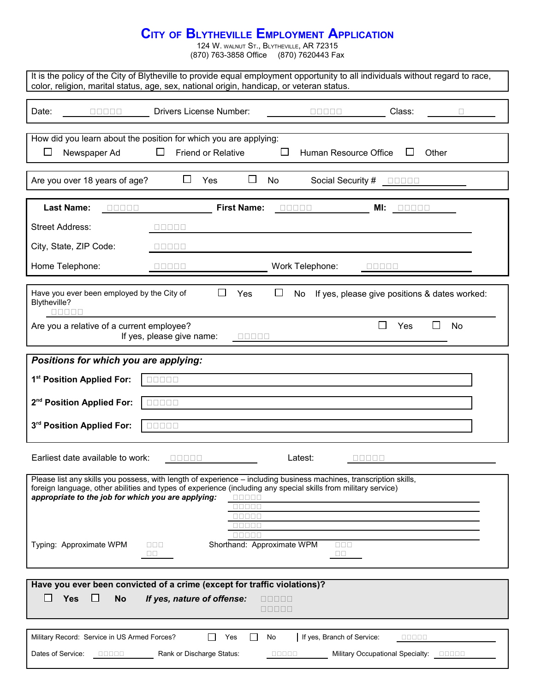## **CITY OF BLYTHEVILLE EMPLOYMENT APPLICATION**

124 W. WALNUT ST., BLYTHEVILLE, AR 72315 (870) 763-3858 Office (870) 7620443 Fax

| It is the policy of the City of Blytheville to provide equal employment opportunity to all individuals without regard to race,<br>color, religion, marital status, age, sex, national origin, handicap, or veteran status.                                                                                                                                                                                           |  |  |  |  |  |  |
|----------------------------------------------------------------------------------------------------------------------------------------------------------------------------------------------------------------------------------------------------------------------------------------------------------------------------------------------------------------------------------------------------------------------|--|--|--|--|--|--|
| <b>Drivers License Number:</b><br>Date:<br>Class:<br>00000                                                                                                                                                                                                                                                                                                                                                           |  |  |  |  |  |  |
| How did you learn about the position for which you are applying:<br>Friend or Relative<br>⊔<br>Newspaper Ad<br>ப<br>Human Resource Office<br>Other<br>ப<br>ப                                                                                                                                                                                                                                                         |  |  |  |  |  |  |
| Are you over 18 years of age?<br>$\sqcup$<br>Yes<br>Ш<br>No<br>Social Security # <b>DODD</b>                                                                                                                                                                                                                                                                                                                         |  |  |  |  |  |  |
| <b>Last Name:</b><br><b>First Name:</b><br>00000<br>$\begin{array}{c} \square \, \square \, \square \, \square \, \square \end{array}$<br>MI:<br>80000                                                                                                                                                                                                                                                               |  |  |  |  |  |  |
| <b>Street Address:</b><br>00000                                                                                                                                                                                                                                                                                                                                                                                      |  |  |  |  |  |  |
| City, State, ZIP Code:<br>$\begin{array}{c} \square \ \square \ \square \ \square \ \square \end{array}$                                                                                                                                                                                                                                                                                                             |  |  |  |  |  |  |
| Home Telephone:<br>Work Telephone:<br>a sa sa<br>uuu uu                                                                                                                                                                                                                                                                                                                                                              |  |  |  |  |  |  |
| $\Box$<br>Have you ever been employed by the City of<br>Yes<br>⊔<br>No<br>If yes, please give positions & dates worked:<br>Blytheville?                                                                                                                                                                                                                                                                              |  |  |  |  |  |  |
| П<br>Are you a relative of a current employee?<br><b>Yes</b><br>No<br>If yes, please give name:<br>$\begin{array}{c} \square \, \square \, \square \, \square \, \square \end{array}$                                                                                                                                                                                                                                |  |  |  |  |  |  |
| Positions for which you are applying:                                                                                                                                                                                                                                                                                                                                                                                |  |  |  |  |  |  |
| 1 <sup>st</sup> Position Applied For:<br>00000                                                                                                                                                                                                                                                                                                                                                                       |  |  |  |  |  |  |
| 2 <sup>nd</sup> Position Applied For:<br>00000                                                                                                                                                                                                                                                                                                                                                                       |  |  |  |  |  |  |
| 3rd Position Applied For:<br>00000                                                                                                                                                                                                                                                                                                                                                                                   |  |  |  |  |  |  |
| Earliest date available to work:<br>Latest:<br>$\begin{array}{c} \square \ \square \ \square \ \square \ \square \end{array}$<br><b>DODDD</b>                                                                                                                                                                                                                                                                        |  |  |  |  |  |  |
| Please list any skills you possess, with length of experience - including business machines, transcription skills,<br>foreign language, other abilities and types of experience (including any special skills from military service)<br>appropriate to the job for which you are applying:<br>$\begin{array}{c} \square \, \square \, \square \, \square \, \square \end{array}$<br>88888<br>00000<br>88888<br>88888 |  |  |  |  |  |  |
| Shorthand: Approximate WPM<br>Typing: Approximate WPM<br>$\Box$ $\Box$ $\Box$<br>$\Box \Box \Box$<br>$\Box$ $\Box$<br>$\Box$                                                                                                                                                                                                                                                                                         |  |  |  |  |  |  |
| Have you ever been convicted of a crime (except for traffic violations)?                                                                                                                                                                                                                                                                                                                                             |  |  |  |  |  |  |
| $\Box$<br>Yes<br>$\Box$<br><b>No</b><br>If yes, nature of offense:<br>00000<br>80000                                                                                                                                                                                                                                                                                                                                 |  |  |  |  |  |  |
| Military Record: Service in US Armed Forces?<br>If yes, Branch of Service:<br>ΙI<br>Yes<br>No<br>00000                                                                                                                                                                                                                                                                                                               |  |  |  |  |  |  |
| Dates of Service:<br>Rank or Discharge Status:<br>Military Occupational Specialty: <b>DEDBE</b><br>a da da d<br>a da da d                                                                                                                                                                                                                                                                                            |  |  |  |  |  |  |